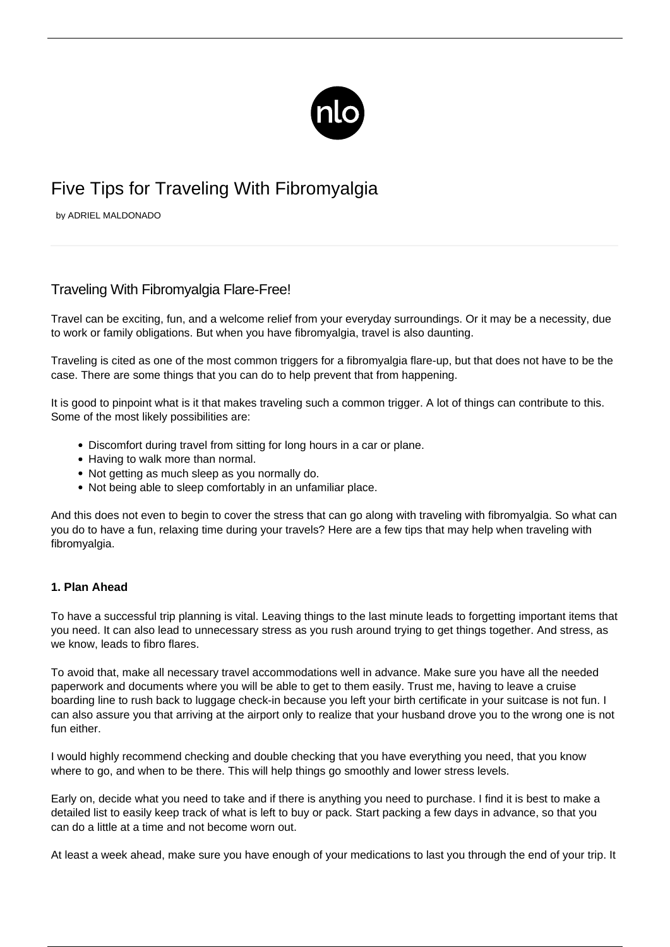

# Five Tips for Traveling With Fibromyalgia

by ADRIEL MALDONADO

# Traveling With Fibromyalgia Flare-Free!

Travel can be exciting, fun, and a welcome relief from your everyday surroundings. Or it may be a necessity, due to work or family obligations. But when you have fibromyalgia, travel is also daunting.

Traveling is cited as one of the most common triggers for a [fibromyalgia flare-up,](/flare-up/) but that does not have to be the case. There are some things that you can do to help prevent that from happening.

It is good to pinpoint what is it that makes traveling such a common trigger. A lot of things can contribute to this. Some of the most likely possibilities are:

- Discomfort during travel from sitting for long hours in a car or plane.
- Having to walk more than normal.
- Not getting as much sleep as you normally do.
- Not being able to sleep comfortably in an unfamiliar place.

And this does not even to begin to cover the stress that can go along with traveling with fibromyalgia. So what can you do to have a fun, relaxing time during your travels? Here are a few tips that may help when traveling with fibromyalgia.

# **1. Plan Ahead**

To have a successful trip planning is vital. Leaving things to the last minute leads to forgetting important items that you need. It can also lead to unnecessary stress as you rush around trying to get things together. And stress, as we know, leads to fibro flares.

To avoid that, make all necessary travel accommodations well in advance. Make sure you have all the needed paperwork and documents where you will be able to get to them easily. Trust me, having to leave a cruise boarding line to rush back to luggage check-in because you left your birth certificate in your suitcase is not fun. I can also assure you that arriving at the airport only to realize that your husband drove you to the wrong one is not fun either.

I would highly recommend checking and double checking that you have everything you need, that you know where to go, and when to be there. This will help things go smoothly and lower stress levels.

Early on, decide what you need to take and if there is anything you need to purchase. I find it is best to make a detailed list to easily keep track of what is left to buy or pack. Start packing a few days in advance, so that you can do a little at a time and not become worn out.

At least a week ahead, make sure you have enough of your medications to last you through the end of your trip. It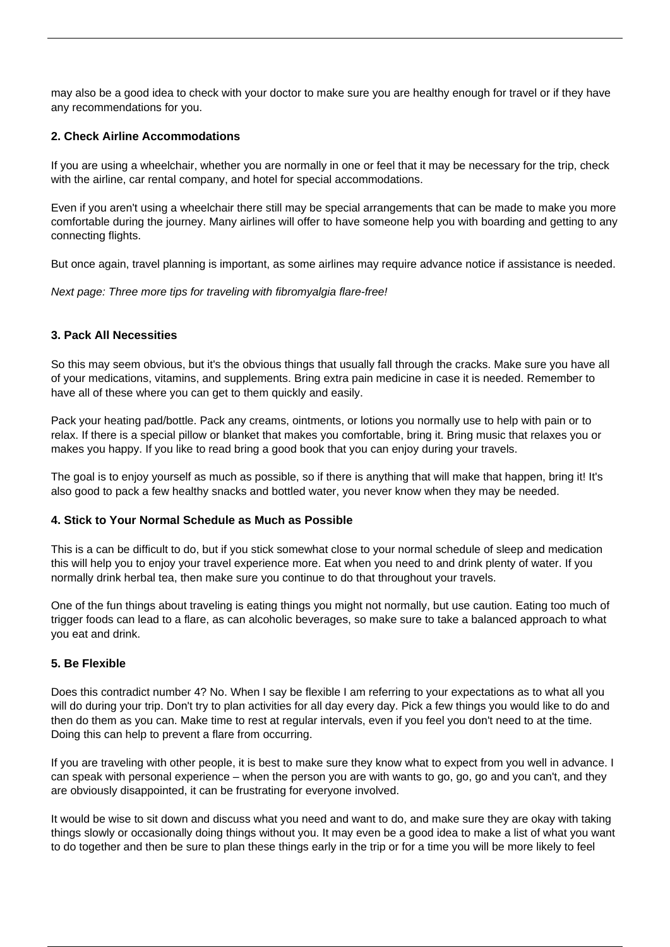may also be a good idea to check with your doctor to make sure you are healthy enough for travel or if they have any recommendations for you.

# **2. Check Airline Accommodations**

If you are using a wheelchair, whether you are normally in one or feel that it may be necessary for the trip, check with the airline, car rental company, and hotel for special accommodations.

Even if you aren't using a wheelchair there still may be special arrangements that can be made to make you more comfortable during the journey. Many airlines will offer to have someone help you with boarding and getting to any connecting flights.

But once again, [travel planning](https://travel-wise.com/planning-a-trip/) is important, as some airlines may require advance notice if assistance is needed.

Next page: Three more tips for traveling with fibromyalgia flare-free!

### **3. Pack All Necessities**

So this may seem obvious, but it's the obvious things that usually fall through the cracks. Make sure you have all of your medications, vitamins, and supplements. Bring extra pain medicine in case it is needed. Remember to have all of these where you can get to them quickly and easily.

Pack your heating pad/bottle. Pack any creams, ointments, or lotions you normally use to help with pain or to relax. If there is a special pillow or blanket that makes you comfortable, bring it. Bring music that relaxes you or makes you happy. If you like to read bring a good book that you can enjoy during your travels.

The goal is to enjoy yourself as much as possible, so if there is anything that will make that happen, bring it! It's also good to pack a few healthy snacks and bottled water, you never know when they may be needed.

### **4. Stick to Your Normal Schedule as Much as Possible**

This is a can be difficult to do, but if you stick somewhat close to your normal schedule of sleep and medication this will help you to enjoy your travel experience more. Eat when you need to and drink plenty of water. If you normally drink herbal tea, then make sure you continue to do that throughout your travels.

One of the fun things about traveling is eating things you might not normally, but use caution. Eating too much of trigger foods can lead to a flare, as can alcoholic beverages, so make sure to take a balanced approach to what you eat and drink.

### **5. Be Flexible**

Does this contradict number 4? No. When I say be flexible I am referring to your expectations as to what all you will do during your trip. Don't try to plan activities for all day every day. Pick a few things you would like to do and then do them as you can. Make time to rest at regular intervals, even if you feel you don't need to at the time. Doing this can help to prevent a flare from occurring.

If you are traveling with other people, it is best to make sure they know what to expect from you well in advance. I can speak with personal experience – when the person you are with wants to go, go, go and you can't, and they are obviously disappointed, it can be frustrating for everyone involved.

It would be wise to sit down and discuss what you need and want to do, and make sure they are okay with taking things slowly or occasionally doing things without you. It may even be a good idea to make a list of what you want to do together and then be sure to plan these things early in the trip or for a time you will be more likely to feel